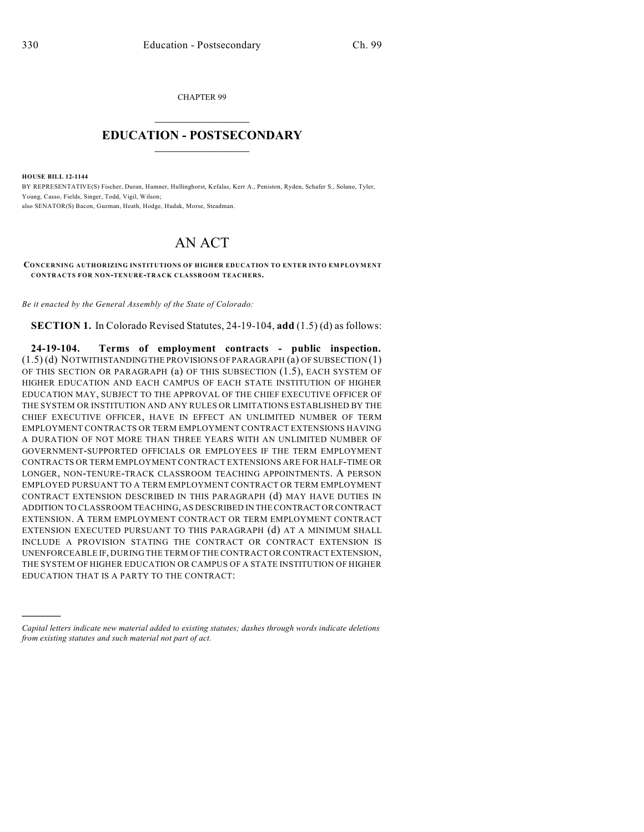CHAPTER 99  $\mathcal{L}_\text{max}$  . The set of the set of the set of the set of the set of the set of the set of the set of the set of the set of the set of the set of the set of the set of the set of the set of the set of the set of the set

## **EDUCATION - POSTSECONDARY**  $\frac{1}{2}$  ,  $\frac{1}{2}$  ,  $\frac{1}{2}$  ,  $\frac{1}{2}$  ,  $\frac{1}{2}$  ,  $\frac{1}{2}$  ,  $\frac{1}{2}$

**HOUSE BILL 12-1144**

)))))

BY REPRESENTATIVE(S) Fischer, Duran, Hamner, Hullinghorst, Kefalas, Kerr A., Peniston, Ryden, Schafer S., Solano, Tyler, Young, Casso, Fields, Singer, Todd, Vigil, Wilson; also SENATOR(S) Bacon, Guzman, Heath, Hodge, Hudak, Morse, Steadman.

## AN ACT

**CONCERNING AUTHORIZING INSTITUTIONS OF HIGHER EDUCATION TO ENTER INTO EMPLOYMENT CONTRACTS FOR NON-TENURE-TRACK CLASSROOM TEACHERS.**

*Be it enacted by the General Assembly of the State of Colorado:*

**SECTION 1.** In Colorado Revised Statutes, 24-19-104, **add** (1.5) (d) as follows:

**24-19-104. Terms of employment contracts - public inspection.** (1.5) (d) NOTWITHSTANDINGTHE PROVISIONS OF PARAGRAPH (a) OF SUBSECTION (1) OF THIS SECTION OR PARAGRAPH (a) OF THIS SUBSECTION (1.5), EACH SYSTEM OF HIGHER EDUCATION AND EACH CAMPUS OF EACH STATE INSTITUTION OF HIGHER EDUCATION MAY, SUBJECT TO THE APPROVAL OF THE CHIEF EXECUTIVE OFFICER OF THE SYSTEM OR INSTITUTION AND ANY RULES OR LIMITATIONS ESTABLISHED BY THE CHIEF EXECUTIVE OFFICER, HAVE IN EFFECT AN UNLIMITED NUMBER OF TERM EMPLOYMENT CONTRACTS OR TERM EMPLOYMENT CONTRACT EXTENSIONS HAVING A DURATION OF NOT MORE THAN THREE YEARS WITH AN UNLIMITED NUMBER OF GOVERNMENT-SUPPORTED OFFICIALS OR EMPLOYEES IF THE TERM EMPLOYMENT CONTRACTS OR TERM EMPLOYMENT CONTRACT EXTENSIONS ARE FOR HALF-TIME OR LONGER, NON-TENURE-TRACK CLASSROOM TEACHING APPOINTMENTS. A PERSON EMPLOYED PURSUANT TO A TERM EMPLOYMENT CONTRACT OR TERM EMPLOYMENT CONTRACT EXTENSION DESCRIBED IN THIS PARAGRAPH (d) MAY HAVE DUTIES IN ADDITION TO CLASSROOM TEACHING, AS DESCRIBED IN THE CONTRACT OR CONTRACT EXTENSION. A TERM EMPLOYMENT CONTRACT OR TERM EMPLOYMENT CONTRACT EXTENSION EXECUTED PURSUANT TO THIS PARAGRAPH (d) AT A MINIMUM SHALL INCLUDE A PROVISION STATING THE CONTRACT OR CONTRACT EXTENSION IS UNENFORCEABLE IF, DURING THE TERM OF THE CONTRACT OR CONTRACT EXTENSION, THE SYSTEM OF HIGHER EDUCATION OR CAMPUS OF A STATE INSTITUTION OF HIGHER EDUCATION THAT IS A PARTY TO THE CONTRACT:

*Capital letters indicate new material added to existing statutes; dashes through words indicate deletions from existing statutes and such material not part of act.*